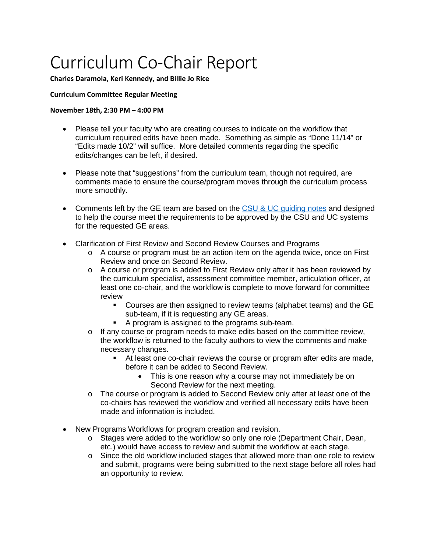# Curriculum Co-Chair Report

### **Charles Daramola, Keri Kennedy, and Billie Jo Rice**

## **Curriculum Committee Regular Meeting**

### **November 18th, 2:30 PM – 4:00 PM**

- Please tell your faculty who are creating courses to indicate on the workflow that curriculum required edits have been made. Something as simple as "Done 11/14" or "Edits made 10/2" will suffice. More detailed comments regarding the specific edits/changes can be left, if desired.
- Please note that "suggestions" from the curriculum team, though not required, are comments made to ensure the course/program moves through the curriculum process more smoothly.
- Comments left by the GE team are based on the CSU [& UC guiding notes](https://www.calstate.edu/csu-system/administration/academic-and-student-affairs/academic-programs-innovations-and-faculty-development/geac/Documents/GE-Reviewers-Guiding-Notes.pdf) and designed to help the course meet the requirements to be approved by the CSU and UC systems for the requested GE areas.
- Clarification of First Review and Second Review Courses and Programs
	- $\circ$  A course or program must be an action item on the agenda twice, once on First Review and once on Second Review.
	- $\circ$  A course or program is added to First Review only after it has been reviewed by the curriculum specialist, assessment committee member, articulation officer, at least one co-chair, and the workflow is complete to move forward for committee review
		- Courses are then assigned to review teams (alphabet teams) and the GE sub-team, if it is requesting any GE areas.
		- A program is assigned to the programs sub-team.
	- $\circ$  If any course or program needs to make edits based on the committee review, the workflow is returned to the faculty authors to view the comments and make necessary changes.
		- At least one co-chair reviews the course or program after edits are made, before it can be added to Second Review.
			- This is one reason why a course may not immediately be on Second Review for the next meeting.
	- o The course or program is added to Second Review only after at least one of the co-chairs has reviewed the workflow and verified all necessary edits have been made and information is included.
- New Programs Workflows for program creation and revision.
	- o Stages were added to the workflow so only one role (Department Chair, Dean, etc.) would have access to review and submit the workflow at each stage.
	- $\circ$  Since the old workflow included stages that allowed more than one role to review and submit, programs were being submitted to the next stage before all roles had an opportunity to review.